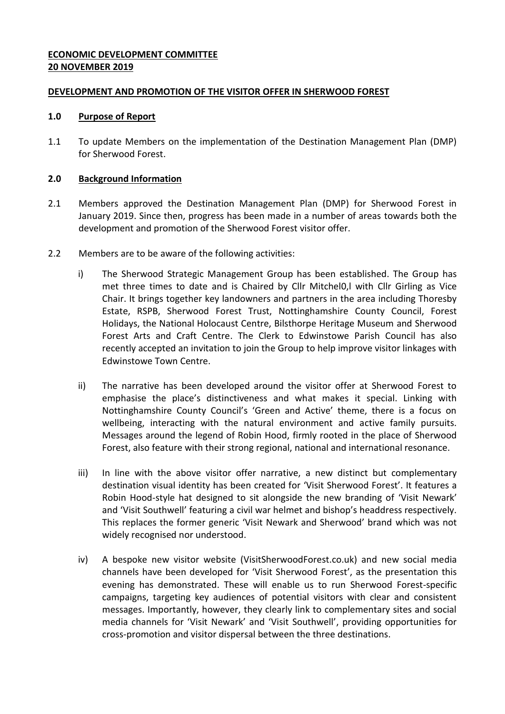# **ECONOMIC DEVELOPMENT COMMITTEE 20 NOVEMBER 2019**

### **DEVELOPMENT AND PROMOTION OF THE VISITOR OFFER IN SHERWOOD FOREST**

#### **1.0 Purpose of Report**

1.1 To update Members on the implementation of the Destination Management Plan (DMP) for Sherwood Forest.

#### **2.0 Background Information**

- 2.1 Members approved the Destination Management Plan (DMP) for Sherwood Forest in January 2019. Since then, progress has been made in a number of areas towards both the development and promotion of the Sherwood Forest visitor offer.
- 2.2 Members are to be aware of the following activities:
	- i) The Sherwood Strategic Management Group has been established. The Group has met three times to date and is Chaired by Cllr Mitchel0,l with Cllr Girling as Vice Chair. It brings together key landowners and partners in the area including Thoresby Estate, RSPB, Sherwood Forest Trust, Nottinghamshire County Council, Forest Holidays, the National Holocaust Centre, Bilsthorpe Heritage Museum and Sherwood Forest Arts and Craft Centre. The Clerk to Edwinstowe Parish Council has also recently accepted an invitation to join the Group to help improve visitor linkages with Edwinstowe Town Centre.
	- ii) The narrative has been developed around the visitor offer at Sherwood Forest to emphasise the place's distinctiveness and what makes it special. Linking with Nottinghamshire County Council's 'Green and Active' theme, there is a focus on wellbeing, interacting with the natural environment and active family pursuits. Messages around the legend of Robin Hood, firmly rooted in the place of Sherwood Forest, also feature with their strong regional, national and international resonance.
	- iii) In line with the above visitor offer narrative, a new distinct but complementary destination visual identity has been created for 'Visit Sherwood Forest'. It features a Robin Hood-style hat designed to sit alongside the new branding of 'Visit Newark' and 'Visit Southwell' featuring a civil war helmet and bishop's headdress respectively. This replaces the former generic 'Visit Newark and Sherwood' brand which was not widely recognised nor understood.
	- iv) A bespoke new visitor website (VisitSherwoodForest.co.uk) and new social media channels have been developed for 'Visit Sherwood Forest', as the presentation this evening has demonstrated. These will enable us to run Sherwood Forest-specific campaigns, targeting key audiences of potential visitors with clear and consistent messages. Importantly, however, they clearly link to complementary sites and social media channels for 'Visit Newark' and 'Visit Southwell', providing opportunities for cross-promotion and visitor dispersal between the three destinations.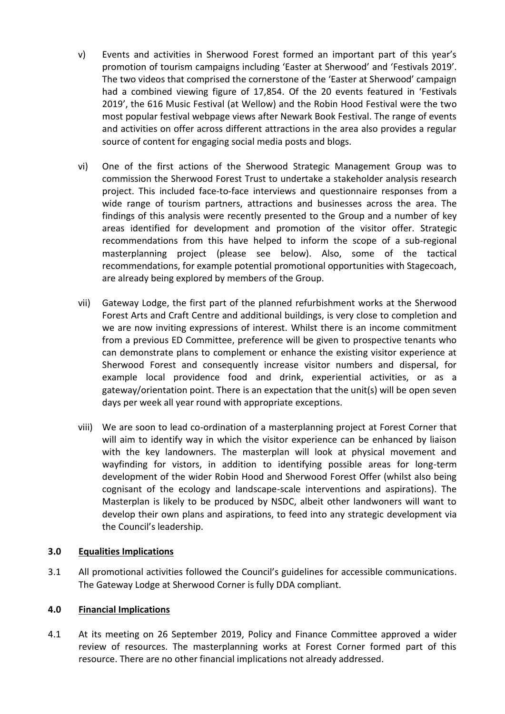- v) Events and activities in Sherwood Forest formed an important part of this year's promotion of tourism campaigns including 'Easter at Sherwood' and 'Festivals 2019'. The two videos that comprised the cornerstone of the 'Easter at Sherwood' campaign had a combined viewing figure of 17,854. Of the 20 events featured in 'Festivals 2019', the 616 Music Festival (at Wellow) and the Robin Hood Festival were the two most popular festival webpage views after Newark Book Festival. The range of events and activities on offer across different attractions in the area also provides a regular source of content for engaging social media posts and blogs.
- vi) One of the first actions of the Sherwood Strategic Management Group was to commission the Sherwood Forest Trust to undertake a stakeholder analysis research project. This included face-to-face interviews and questionnaire responses from a wide range of tourism partners, attractions and businesses across the area. The findings of this analysis were recently presented to the Group and a number of key areas identified for development and promotion of the visitor offer. Strategic recommendations from this have helped to inform the scope of a sub-regional masterplanning project (please see below). Also, some of the tactical recommendations, for example potential promotional opportunities with Stagecoach, are already being explored by members of the Group.
- vii) Gateway Lodge, the first part of the planned refurbishment works at the Sherwood Forest Arts and Craft Centre and additional buildings, is very close to completion and we are now inviting expressions of interest. Whilst there is an income commitment from a previous ED Committee, preference will be given to prospective tenants who can demonstrate plans to complement or enhance the existing visitor experience at Sherwood Forest and consequently increase visitor numbers and dispersal, for example local providence food and drink, experiential activities, or as a gateway/orientation point. There is an expectation that the unit(s) will be open seven days per week all year round with appropriate exceptions.
- viii) We are soon to lead co-ordination of a masterplanning project at Forest Corner that will aim to identify way in which the visitor experience can be enhanced by liaison with the key landowners. The masterplan will look at physical movement and wayfinding for vistors, in addition to identifying possible areas for long-term development of the wider Robin Hood and Sherwood Forest Offer (whilst also being cognisant of the ecology and landscape-scale interventions and aspirations). The Masterplan is likely to be produced by NSDC, albeit other landwoners will want to develop their own plans and aspirations, to feed into any strategic development via the Council's leadership.

### **3.0 Equalities Implications**

3.1 All promotional activities followed the Council's guidelines for accessible communications. The Gateway Lodge at Sherwood Corner is fully DDA compliant.

# **4.0 Financial Implications**

4.1 At its meeting on 26 September 2019, Policy and Finance Committee approved a wider review of resources. The masterplanning works at Forest Corner formed part of this resource. There are no other financial implications not already addressed.